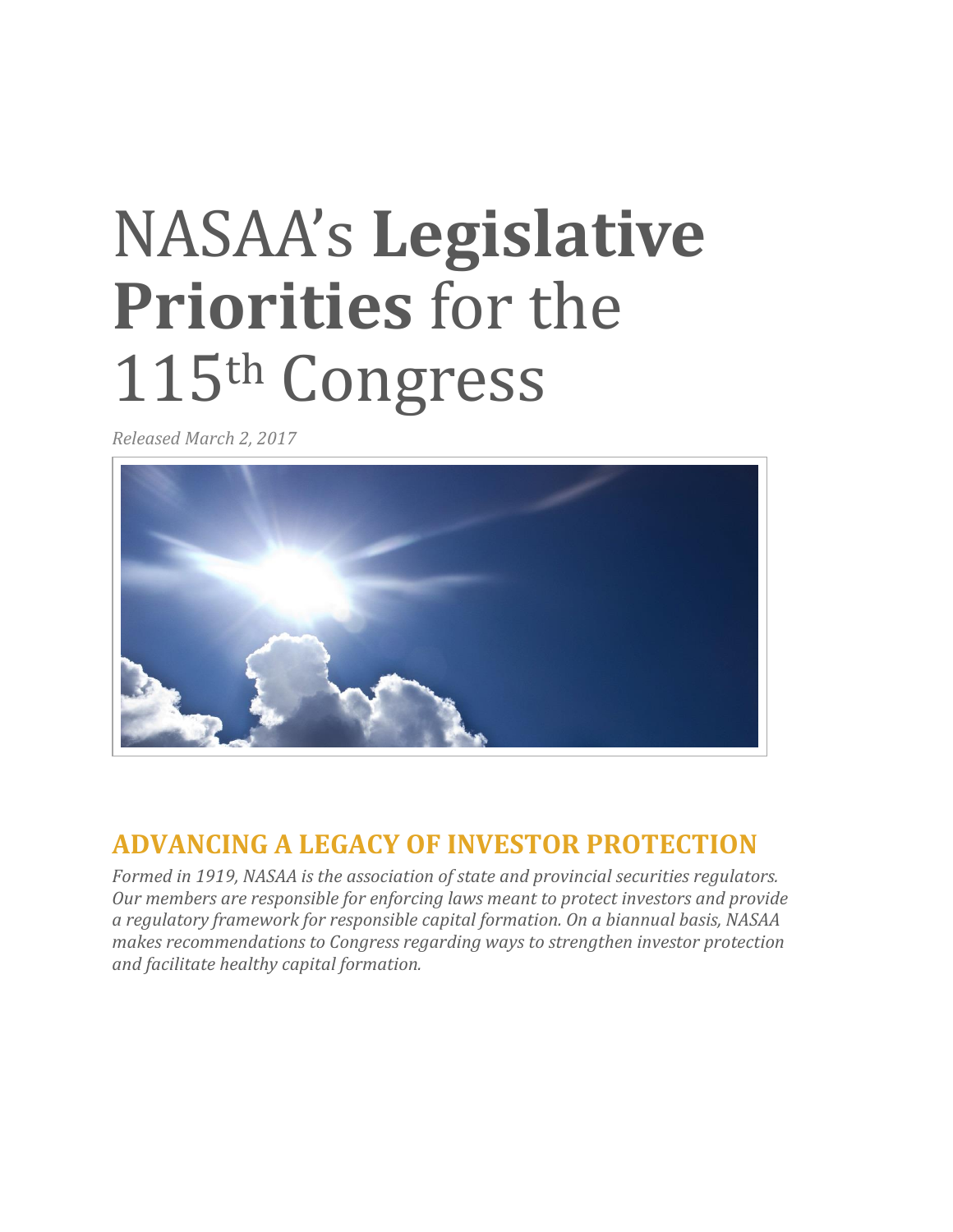# NASAA's **Legislative Priorities** for the 115th Congress

*Released March 2, 2017*



### **ADVANCING A LEGACY OF INVESTOR PROTECTION**

*Formed in 1919, NASAA is the association of state and provincial securities regulators. Our members are responsible for enforcing laws meant to protect investors and provide a regulatory framework for responsible capital formation. On a biannual basis, NASAA makes recommendations to Congress regarding ways to strengthen investor protection and facilitate healthy capital formation.*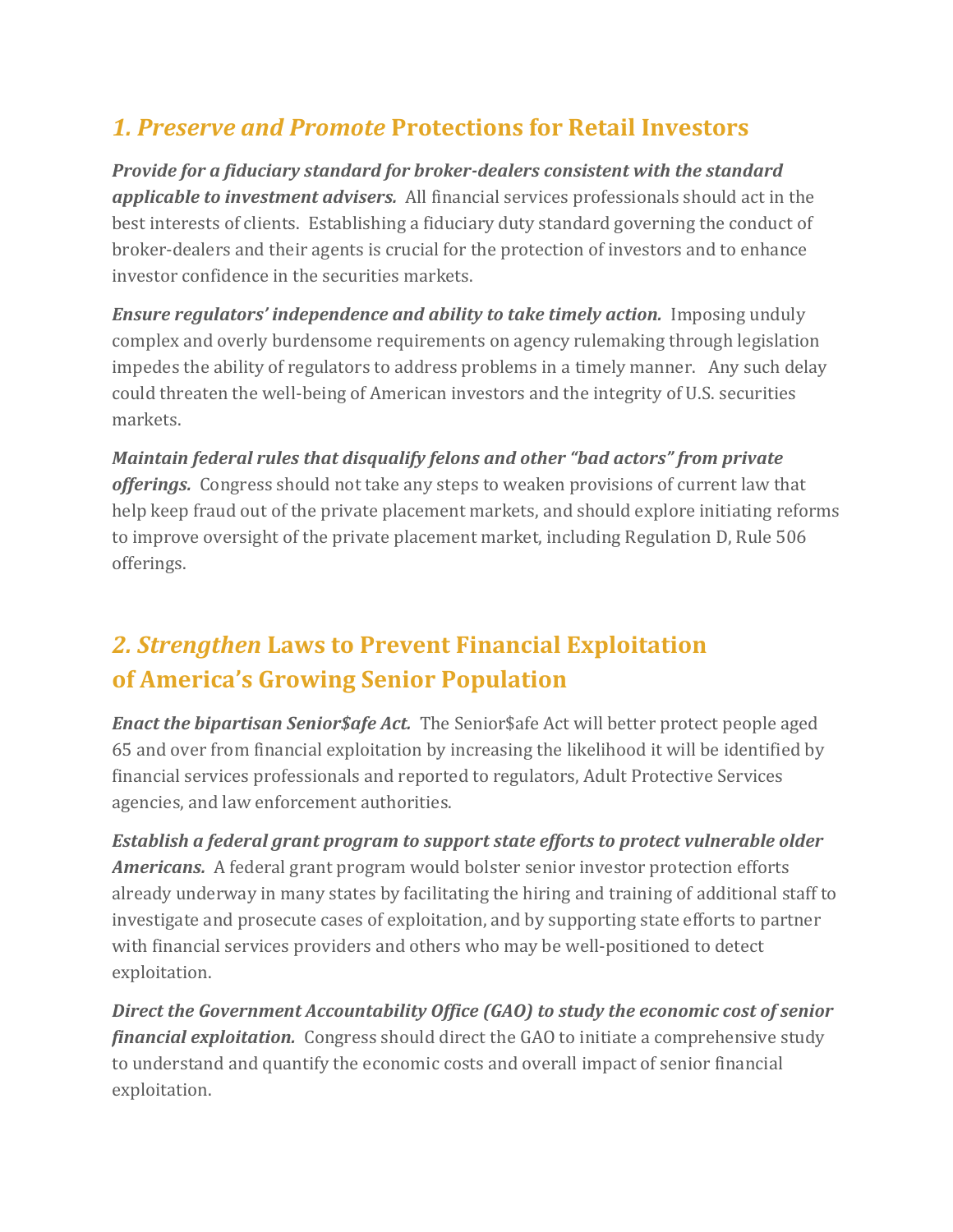#### *1. Preserve and Promote* **Protections for Retail Investors**

*Provide for a fiduciary standard for broker-dealers consistent with the standard applicable to investment advisers.* All financial services professionals should act in the best interests of clients. Establishing a fiduciary duty standard governing the conduct of broker-dealers and their agents is crucial for the protection of investors and to enhance investor confidence in the securities markets.

*Ensure regulators' independence and ability to take timely action.* Imposing unduly complex and overly burdensome requirements on agency rulemaking through legislation impedes the ability of regulators to address problems in a timely manner. Any such delay could threaten the well-being of American investors and the integrity of U.S. securities markets.

*Maintain federal rules that disqualify felons and other "bad actors" from private offerings.* Congress should not take any steps to weaken provisions of current law that help keep fraud out of the private placement markets, and should explore initiating reforms to improve oversight of the private placement market, including Regulation D, Rule 506 offerings.

## *2. Strengthen* **Laws to Prevent Financial Exploitation of America's Growing Senior Population**

*Enact the bipartisan Senior\$afe Act.* The Senior\$afe Act will better protect people aged 65 and over from financial exploitation by increasing the likelihood it will be identified by financial services professionals and reported to regulators, Adult Protective Services agencies, and law enforcement authorities.

*Establish a federal grant program to support state efforts to protect vulnerable older Americans.* A federal grant program would bolster senior investor protection efforts already underway in many states by facilitating the hiring and training of additional staff to investigate and prosecute cases of exploitation, and by supporting state efforts to partner with financial services providers and others who may be well-positioned to detect exploitation.

*Direct the Government Accountability Office (GAO) to study the economic cost of senior financial exploitation.* Congress should direct the GAO to initiate a comprehensive study to understand and quantify the economic costs and overall impact of senior financial exploitation.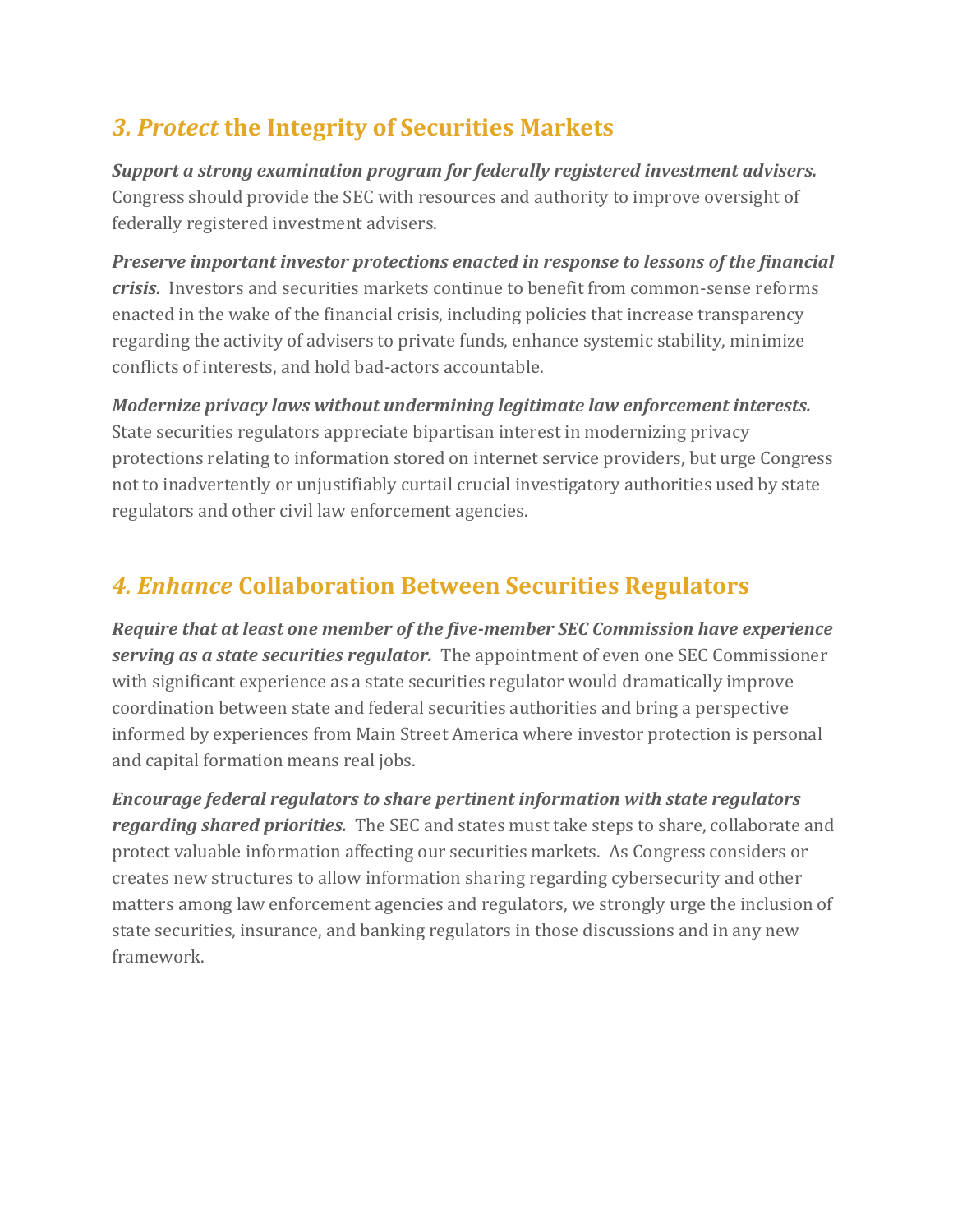## *3. Protect* **the Integrity of Securities Markets**

*Support a strong examination program for federally registered investment advisers.* Congress should provide the SEC with resources and authority to improve oversight of federally registered investment advisers.

*Preserve important investor protections enacted in response to lessons of the financial crisis.* Investors and securities markets continue to benefit from common-sense reforms enacted in the wake of the financial crisis, including policies that increase transparency regarding the activity of advisers to private funds, enhance systemic stability, minimize conflicts of interests, and hold bad-actors accountable.

*Modernize privacy laws without undermining legitimate law enforcement interests.*  State securities regulators appreciate bipartisan interest in modernizing privacy protections relating to information stored on internet service providers, but urge Congress not to inadvertently or unjustifiably curtail crucial investigatory authorities used by state regulators and other civil law enforcement agencies.

### *4. Enhance* **Collaboration Between Securities Regulators**

*Require that at least one member of the five-member SEC Commission have experience serving as a state securities regulator.* The appointment of even one SEC Commissioner with significant experience as a state securities regulator would dramatically improve coordination between state and federal securities authorities and bring a perspective informed by experiences from Main Street America where investor protection is personal and capital formation means real jobs.

*Encourage federal regulators to share pertinent information with state regulators regarding shared priorities.* The SEC and states must take steps to share, collaborate and protect valuable information affecting our securities markets. As Congress considers or creates new structures to allow information sharing regarding cybersecurity and other matters among law enforcement agencies and regulators, we strongly urge the inclusion of state securities, insurance, and banking regulators in those discussions and in any new framework.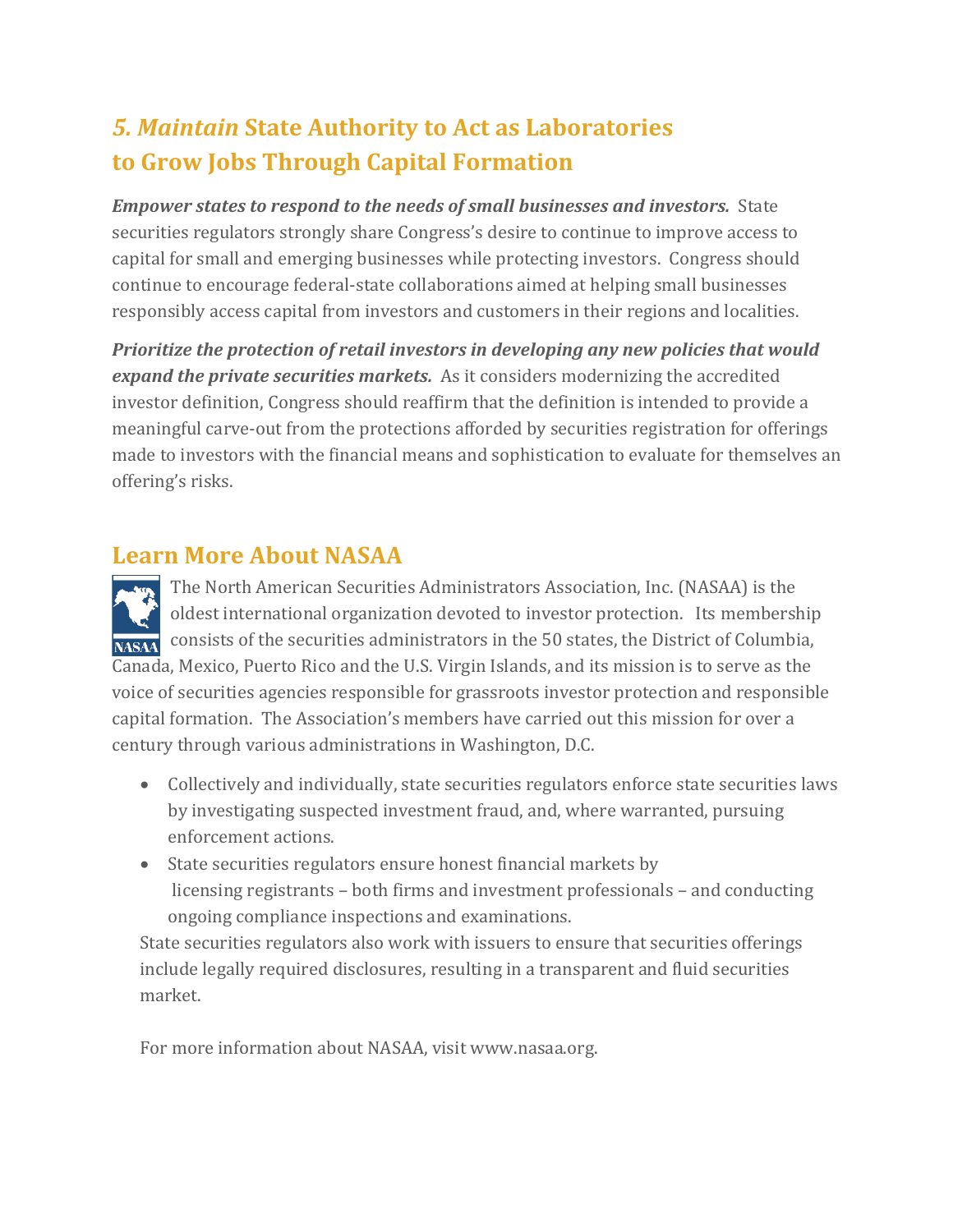# *5. Maintain* **State Authority to Act as Laboratories to Grow Jobs Through Capital Formation**

*Empower states to respond to the needs of small businesses and investors.* State securities regulators strongly share Congress's desire to continue to improve access to capital for small and emerging businesses while protecting investors. Congress should continue to encourage federal-state collaborations aimed at helping small businesses responsibly access capital from investors and customers in their regions and localities.

*Prioritize the protection of retail investors in developing any new policies that would expand the private securities markets.* As it considers modernizing the accredited investor definition, Congress should reaffirm that the definition is intended to provide a meaningful carve-out from the protections afforded by securities registration for offerings made to investors with the financial means and sophistication to evaluate for themselves an offering's risks.

#### **Learn More About NASAA**

The North American Securities Administrators Association, Inc. (NASAA) is the oldest international organization devoted to investor protection. Its membership consists of the securities administrators in the 50 states, the District of Columbia, Canada, Mexico, Puerto Rico and the U.S. Virgin Islands, and its mission is to serve as the voice of securities agencies responsible for grassroots investor protection and responsible capital formation. The Association's members have carried out this mission for over a century through various administrations in Washington, D.C.

- Collectively and individually, state securities regulators enforce state securities laws by investigating suspected investment fraud, and, where warranted, pursuing enforcement actions.
- State securities regulators ensure honest financial markets by licensing registrants – both firms and investment professionals – and conducting ongoing compliance inspections and examinations.

State securities regulators also work with issuers to ensure that securities offerings include legally required disclosures, resulting in a transparent and fluid securities market.

For more information about NASAA, visit www.nasaa.org.